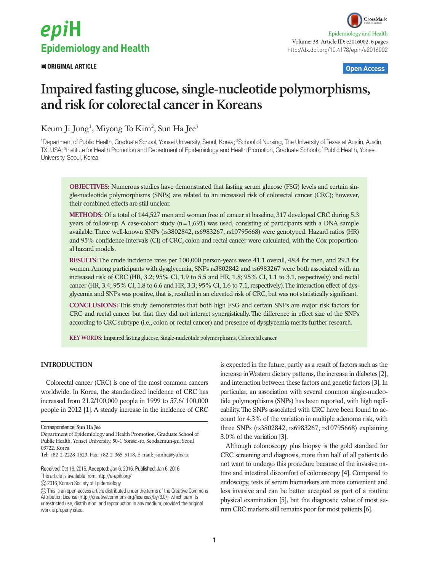# epiH **Epidemiology and Health**

### **ORIGINAL ARTICLE Open Access**

## **Impaired fasting glucose, single-nucleotide polymorphisms, and risk for colorectal cancer in Koreans**

Keum Ji Jung<sup>1</sup>, Miyong To Kim<sup>2</sup>, Sun Ha Jee<sup>3</sup>

<sup>1</sup>Department of Public Health, Graduate School, Yonsei University, Seoul, Korea; <sup>2</sup>School of Nursing, The University of Texas at Austin, Austin, TX, USA; <sup>3</sup>Institute for Health Promotion and Department of Epidemiology and Health Promotion, Graduate School of Public Health, Yonsei University, Seoul, Korea

**OBJECTIVES:** Numerous studies have demonstrated that fasting serum glucose (FSG) levels and certain single-nucleotide polymorphisms (SNPs) are related to an increased risk of colorectal cancer (CRC); however, their combined effects are still unclear.

**METHODS:** Of a total of 144,527 men and women free of cancer at baseline, 317 developed CRC during 5.3 years of follow-up. A case-cohort study (n=1,691) was used, consisting of participants with a DNA sample available. Three well-known SNPs (rs3802842, rs6983267, rs10795668) were genotyped. Hazard ratios (HR) and 95% confidence intervals (CI) of CRC, colon and rectal cancer were calculated, with the Cox proportional hazard models.

**RESULTS:** The crude incidence rates per 100,000 person-years were 41.1 overall, 48.4 for men, and 29.3 for women. Among participants with dysglycemia, SNPs rs3802842 and rs6983267 were both associated with an increased risk of CRC (HR, 3.2; 95% CI, 1.9 to 5.5 and HR, 1.8; 95% CI, 1.1 to 3.1, respectively) and rectal cancer (HR, 3.4; 95% CI, 1.8 to 6.6 and HR, 3.3; 95% CI, 1.6 to 7.1, respectively). The interaction effect of dysglycemia and SNPs was positive, that is, resulted in an elevated risk of CRC, but was not statistically significant.

**CONCLUSIONS:** This study demonstrates that both high FSG and certain SNPs are major risk factors for CRC and rectal cancer but that they did not interact synergistically. The difference in effect size of the SNPs according to CRC subtype (i.e., colon or rectal cancer) and presence of dysglycemia merits further research.

**KEY WORDS:** Impaired fasting glucose, Single-nucleotide polymorphisms, Colorectal cancer

#### **INTRODUCTION**

Colorectal cancer (CRC) is one of the most common cancers worldwide. In Korea, the standardized incidence of CRC has increased from 21.2/100,000 people in 1999 to 57.6/ 100,000 people in 2012 [1]. A steady increase in the incidence of CRC

Received: Oct 19, 2015, Accepted: Jan 6, 2016, Published: Jan 6, 2016

This article is available from: http://e-epih.org/

2016, Korean Society of Epidemiology

is expected in the future, partly as a result of factors such as the increase in Western dietary patterns, the increase in diabetes [2], and interaction between these factors and genetic factors [3]. In particular, an association with several common single-nucleotide polymorphisms (SNPs) has been reported, with high replicability. The SNPs associated with CRC have been found to account for 4.3% of the variation in multiple adenoma risk, with three SNPs (rs3802842, rs6983267, rs10795668) explaining 3.0% of the variation [3].

Although colonoscopy plus biopsy is the gold standard for CRC screening and diagnosis, more than half of all patients do not want to undergo this procedure because of the invasive nature and intestinal discomfort of colonoscopy [4]. Compared to endoscopy, tests of serum biomarkers are more convenient and less invasive and can be better accepted as part of a routine physical examination [5], but the diagnostic value of most serum CRC markers still remains poor for most patients [6].

Correspondence: **Sun Ha Jee** 

Department of Epidemiology and Health Promotion, Graduate School of Public Health, Yonsei University, 50-1 Yonsei-ro, Seodaemun-gu, Seoul 03722, Korea

Tel: +82-2-2228-1523, Fax: +82-2-365-5118, E-mail: jsunha@yuhs.ac

This is an open-access article distributed under the terms of the Creative Commons Attribution License (http://creativecommons.org/licenses/by/3.0/), which permits unrestricted use, distribution, and reproduction in any medium, provided the original work is properly cited.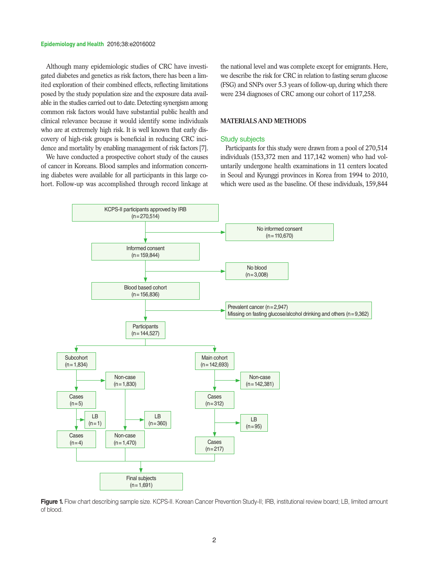#### **Epidemiology and Health** 2016;38:e2016002

Although many epidemiologic studies of CRC have investigated diabetes and genetics as risk factors, there has been a limited exploration of their combined effects, reflecting limitations posed by the study population size and the exposure data available in the studies carried out to date. Detecting synergism among common risk factors would have substantial public health and clinical relevance because it would identify some individuals who are at extremely high risk. It is well known that early discovery of high-risk groups is beneficial in reducing CRC incidence and mortality by enabling management of risk factors [7].

We have conducted a prospective cohort study of the causes of cancer in Koreans. Blood samples and information concerning diabetes were available for all participants in this large cohort. Follow-up was accomplished through record linkage at the national level and was complete except for emigrants. Here, we describe the risk for CRC in relation to fasting serum glucose (FSG) and SNPs over 5.3 years of follow-up, during which there were 234 diagnoses of CRC among our cohort of 117,258.

#### **MATERIALS AND METHODS**

#### Study subjects

Participants for this study were drawn from a pool of 270,514 individuals (153,372 men and 117,142 women) who had voluntarily undergone health examinations in 11 centers located in Seoul and Kyunggi provinces in Korea from 1994 to 2010, which were used as the baseline. Of these individuals, 159,844



Figure 1. Flow chart describing sample size. KCPS-II. Korean Cancer Prevention Study-II; IRB, institutional review board; LB, limited amount of blood.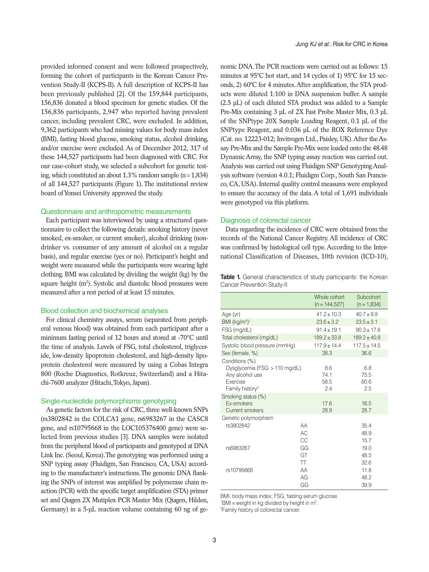provided informed consent and were followed prospectively, forming the cohort of participants in the Korean Cancer Prevention Study-II (KCPS-II). A full description of KCPS-II has been previously published [2]. Of the 159,844 participants, 156,836 donated a blood specimen for genetic studies. Of the 156,836 participants, 2,947 who reported having prevalent cancer, including prevalent CRC, were excluded. In addition, 9,362 participants who had missing values for body mass index (BMI), fasting blood glucose, smoking status, alcohol drinking, and/or exercise were excluded. As of December 2012, 317 of these 144,527 participants had been diagnosed with CRC. For our case-cohort study, we selected a subcohort for genetic testing, which constituted an about  $1.3\%$  random sample (n=1,834) of all 144,527 participants (Figure 1). The institutional review board of Yonsei University approved the study.

#### Questionnaire and anthropometric measurements

Each participant was interviewed by using a structured questionnaire to collect the following details: smoking history (never smoked, ex-smoker, or current smoker), alcohol drinking (nondrinker vs. consumer of any amount of alcohol on a regular basis), and regular exercise (yes or no). Participant's height and weight were measured while the participants were wearing light clothing. BMI was calculated by dividing the weight (kg) by the square height (m<sup>2</sup>). Systolic and diastolic blood pressures were measured after a rest period of at least 15 minutes.

#### Blood collection and biochemical analyses

For clinical chemistry assays, serum (separated from peripheral venous blood) was obtained from each participant after a minimum fasting period of 12 hours and stored at -70°C until the time of analysis. Levels of FSG, total cholesterol, triglyceride, low-density lipoprotein cholesterol, and high-density lipoprotein cholesterol were measured by using a Cobas Integra 800 (Roche Diagnostics, Rotkreuz, Switzerland) and a Hitachi-7600 analyzer (Hitachi, Tokyo, Japan).

#### Single-nucleotide polymorphisms genotyping

As genetic factors for the risk of CRC, three well-known SNPs (rs3802842 in the COLCA1 gene, rs6983267 in the CASC8 gene, and rs10795668 in the LOC105376400 gene) were selected from previous studies [3]. DNA samples were isolated from the peripheral blood of participants and genotyped at DNA Link Inc. (Seoul, Korea). The genotyping was performed using a SNP typing assay (Fluidigm, San Francisco, CA, USA) according to the manufacturer's instructions. The genomic DNA flanking the SNPs of interest was amplified by polymerase chain reaction (PCR) with the specific target amplification (STA) primer set and Qiagen 2X Mutiplex PCR Master Mix (Qiagen, Hilden, Germany) in a 5-µL reaction volume containing 60 ng of genomic DNA. The PCR reactions were carried out as follows: 15 minutes at 95ºC hot start, and 14 cycles of 1) 95ºC for 15 seconds, 2) 60ºC for 4 minutes. After amplification, the STA products were diluted 1:100 in DNA suspension buffer. A sample (2.5 µL) of each diluted STA product was added to a Sample Pre-Mix containing 3 µL of 2X Fast Probe Master Mix, 0.3 µL of the SNPtype 20X Sample Loading Reagent, 0.1 µL of the SNPtype Reagent, and 0.036 µL of the ROX Reference Dye (Cat. no. 12223-012; Invitrogen Ltd., Paisley, UK). After the Assay Pre-Mix and the Sample Pre-Mix were loaded onto the 48.48 Dynamic Array, the SNP typing assay reaction was carried out. Analysis was carried out using Fluidigm SNP Genotyping Analysis software (version 4.0.1; Fluidigm Corp., South San Francisco, CA, USA). Internal quality control measures were employed to ensure the accuracy of the data. A total of 1,691 individuals were genotyped via this platform.

#### Diagnosis of colorectal cancer

Data regarding the incidence of CRC were obtained from the records of the National Cancer Registry. All incidence of CRC was confirmed by histological cell type. According to the International Classification of Diseases, 10th revision (ICD-10),

**Table 1.** General characteristics of study participants: the Korean Cancer Prevention Study-II

|                                                                                                                | Whole cohort<br>$(n = 144, 527)$ | Subcohort<br>$(n = 1,834)$ |
|----------------------------------------------------------------------------------------------------------------|----------------------------------|----------------------------|
| Age (yr)                                                                                                       | $41.2 \pm 10.3$                  | $40.7 \pm 9.9$             |
| BMI $(kg/m2)1$                                                                                                 | $23.6 \pm 3.2$                   | $23.5 \pm 3.1$             |
| FSG (mg/dL)                                                                                                    | $91.4 \pm 19.1$                  | $90.3 \pm 17.6$            |
| Total cholesterol (mg/dL)                                                                                      | $189.2 \pm 33.8$                 | $189.2 \pm 40.8$           |
| Systolic blood pressure (mmHg)                                                                                 | $117.9 \pm 14.4$                 | $117.5 \pm 14.5$           |
| Sex (female, %)                                                                                                | 38.3                             | 36.6                       |
| Conditions (%)<br>Dysglycemia (FSG $>110$ mg/dL)<br>Any alcohol use<br>Exercise<br>Family history <sup>2</sup> | 8.6<br>74.1<br>58.5<br>2.4       | 6.8<br>75.5<br>60.6<br>2.5 |
| Smoking status (%)<br><b>Fx-smokers</b><br>Current smokers                                                     | 17.6<br>28.9                     | 16.5<br>28.7               |
| Genetic polymorphism<br>rs3802842<br>AA<br>AC<br>CC                                                            |                                  | 35.4<br>48.9<br>15.7       |
| GG<br>rs6983267<br>GT<br>$_{\text{T}}$                                                                         |                                  | 19.0<br>48.5<br>32.6       |
| AA<br>rs10795668<br>AG                                                                                         | GG                               | 11.8<br>48.2<br>39.9       |

BMI, body mass index; FSG, fasting serum glucose.

 $18$ MI = weight in kg divided by height in m<sup>2</sup>.<br><sup>2</sup> Eamily bistany of coloractal capear

<sup>2</sup>Family history of colorectal cancer.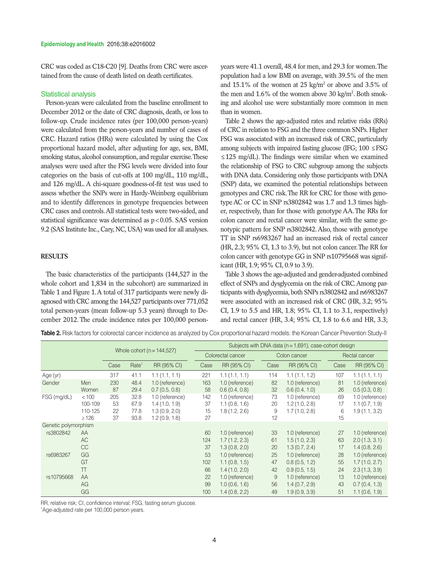CRC was coded as C18-C20 [9]. Deaths from CRC were ascertained from the cause of death listed on death certificates.

#### Statistical analysis

Person-years were calculated from the baseline enrollment to December 2012 or the date of CRC diagnosis, death, or loss to follow-up. Crude incidence rates (per 100,000 person-years) were calculated from the person-years and number of cases of CRC. Hazard ratios (HRs) were calculated by using the Cox proportional hazard model, after adjusting for age, sex, BMI, smoking status, alcohol consumption, and regular exercise. These analyses were used after the FSG levels were divided into four categories on the basis of cut-offs at 100 mg/dL, 110 mg/dL, and 126 mg/dL. A chi-square goodness-of-fit test was used to assess whether the SNPs were in Hardy-Weinberg equilibrium and to identify differences in genotype frequencies between CRC cases and controls. All statistical tests were two-sided, and statistical significance was determined as  $p < 0.05$ . SAS version 9.2 (SAS Institute Inc., Cary, NC, USA) was used for all analyses.

#### **RESULTS**

The basic characteristics of the participants (144,527 in the whole cohort and 1,834 in the subcohort) are summarized in Table 1 and Figure 1. A total of 317 participants were newly diagnosed with CRC among the 144,527 participants over 771,052 total person-years (mean follow-up 5.3 years) through to December 2012. The crude incidence rates per 100,000 personyears were 41.1 overall, 48.4 for men, and 29.3 for women. The population had a low BMI on average, with 39.5% of the men and 15.1% of the women at 25 kg/m<sup>2</sup> or above and 3.5% of the men and 1.6% of the women above 30 kg/m<sup>2</sup>. Both smoking and alcohol use were substantially more common in men than in women.

Table 2 shows the age-adjusted rates and relative risks (RRs) of CRC in relation to FSG and the three common SNPs. Higher FSG was associated with an increased risk of CRC, particularly among subjects with impaired fasting glucose (IFG;  $100 \leq FSG$ ) ≤125 mg/dL). The findings were similar when we examined the relationship of FSG to CRC subgroup among the subjects with DNA data. Considering only those participants with DNA (SNP) data, we examined the potential relationships between genotypes and CRC risk. The RR for CRC for those with genotype AC or CC in SNP rs3802842 was 1.7 and 1.3 times higher, respectively, than for those with genotype AA. The RRs for colon cancer and rectal cancer were similar, with the same genotypic pattern for SNP rs3802842. Also, those with genotype TT in SNP rs6983267 had an increased risk of rectal cancer (HR, 2.3; 95% CI, 1.3 to 3.9), but not colon cancer. The RR for colon cancer with genotype GG in SNP rs10795668 was significant (HR, 1.9; 95% CI, 0.9 to 3.9).

Table 3 shows the age-adjusted and gender-adjusted combined effect of SNPs and dysglycemia on the risk of CRC. Among participants with dysglycemia, both SNPs rs3802842 and rs6983267 were associated with an increased risk of CRC (HR, 3.2; 95% CI, 1.9 to 5.5 and HR, 1.8; 95% CI, 1.1 to 3.1, respectively) and rectal cancer (HR, 3.4; 95% CI, 1.8 to 6.6 and HR, 3.3;

**Table 2.** Risk factors for colorectal cancer incidence as analyzed by Cox proportional hazard models: the Korean Cancer Prevention Study-II

|                      |            |                               |                   |                 | Subjects with DNA data ( $n = 1.691$ ), case-cohort design |                 |              |                 |               |                 |
|----------------------|------------|-------------------------------|-------------------|-----------------|------------------------------------------------------------|-----------------|--------------|-----------------|---------------|-----------------|
|                      |            | Whole cohort $(n = 144, 527)$ |                   |                 | Colorectal cancer                                          |                 | Colon cancer |                 | Rectal cancer |                 |
|                      |            | Case                          | Rate <sup>1</sup> | RR (95% CI)     | Case                                                       | RR (95% CI)     | Case         | RR (95% CI)     | Case          | RR (95% CI)     |
| Age (yr)             |            | 317                           | 41.1              | 1.1(1.1, 1.1)   | 221                                                        | 1.1(1.1, 1.1)   | 114          | 1.1(1.1, 1.2)   | 107           | 1.1(1.1, 1.1)   |
| Gender               | Men        | 230                           | 48.4              | 1.0 (reference) | 163                                                        | 1.0 (reference) | 82           | 1.0 (reference) | 81            | 1.0 (reference) |
|                      | Women      | 87                            | 29.4              | 0.7(0.5, 0.8)   | 58                                                         | 0.6(0.4, 0.8)   | 32           | 0.6(0.4, 1.0)   | 26            | 0.5(0.3, 0.8)   |
| FSG (mg/dL)          | < 100      | 205                           | 32.8              | 1.0 (reference) | 142                                                        | 1.0 (reference) | 73           | 1.0 (reference) | 69            | 1.0 (reference) |
|                      | 100-109    | 53                            | 67.9              | 1.4(1.0, 1.9)   | 37                                                         | 1.1(0.8, 1.6)   | 20           | 1.2(1.0, 2.8)   | 17            | 1.1(0.7, 1.9)   |
|                      | 110-125    | 22                            | 77.8              | 1.3(0.9, 2.0)   | 15                                                         | 1.8(1.2, 2.6)   | 9            | 1.7(1.0, 2.8)   | 6             | 1.9(1.1, 3.2)   |
|                      | $\geq 126$ | 37                            | 93.8              | 1.2(0.9, 1.8)   | 27                                                         |                 | 12           |                 | 15            |                 |
| Genetic polymorphism |            |                               |                   |                 |                                                            |                 |              |                 |               |                 |
| rs3802842            | AA         |                               |                   |                 | 60                                                         | 1.0 (reference) | 33           | 1.0 (reference) | 27            | 1.0 (reference) |
|                      | AC         |                               |                   |                 | 124                                                        | 1.7(1.2, 2.3)   | 61           | 1.5(1.0, 2.3)   | 63            | 2.0(1.3, 3.1)   |
|                      | <b>CC</b>  |                               |                   |                 | 37                                                         | 1.3(0.8, 2.0)   | 20           | 1.3(0.7, 2.4)   | 17            | 1.4(0.8, 2.6)   |
| rs6983267            | GG         |                               |                   |                 | 53                                                         | 1.0 (reference) | 25           | 1.0 (reference) | 28            | 1.0 (reference) |
|                      | GT         |                               |                   |                 | 102                                                        | 1.1(0.8, 1.5)   | 47           | 0.8(0.5, 1.2)   | 55            | 1.7(1.0, 2.7)   |
|                      | TT         |                               |                   |                 | 66                                                         | 1.4(1.0, 2.0)   | 42           | 0.9(0.5, 1.5)   | 24            | 2.3(1.3, 3.9)   |
| rs10795668           | AA         |                               |                   |                 | 22                                                         | 1.0 (reference) | 9            | 1.0 (reference) | 13            | 1.0 (reference) |
|                      | AG         |                               |                   |                 | 99                                                         | 1.0(0.6, 1.6)   | 56           | 1.4(0.7, 2.9)   | 43            | 0.7(0.4, 1.3)   |
|                      | GG         |                               |                   |                 | 100                                                        | 1.4(0.8, 2.2)   | 49           | 1.9(0.9, 3.9)   | 51            | 1.1(0.6, 1.9)   |

RR, relative risk; CI, confidence interval; FSG, fasting serum glucose.

1 Age-adjusted rate per 100,000 person years.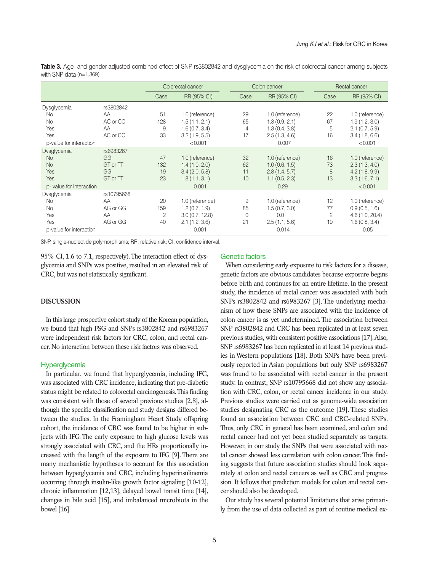**Table 3.** Age- and gender-adjusted combined effect of SNP rs3802842 and dysglycemia on the risk of colorectal cancer among subjects with SNP data (n=1,369)

|                          |            | Colorectal cancer |                 |              | Colon cancer    |      | Rectal cancer   |  |
|--------------------------|------------|-------------------|-----------------|--------------|-----------------|------|-----------------|--|
|                          |            | Case              | RR (95% CI)     | Case         | RR (95% CI)     | Case | RR (95% CI)     |  |
| Dysglycemia              | rs3802842  |                   |                 |              |                 |      |                 |  |
| <b>No</b>                | AA         | 51                | 1.0 (reference) | 29           | 1.0 (reference) | 22   | 1.0 (reference) |  |
| <b>No</b>                | AC or CC   | 128               | 1.5(1.1, 2.1)   | 65           | 1.3(0.9, 2.1)   | 67   | 1.9(1.2, 3.0)   |  |
| Yes                      | AA         | 9                 | 1.6(0.7, 3.4)   | 4            | 1.3(0.4, 3.8)   | 5    | 2.1(0.7, 5.9)   |  |
| Yes                      | AC or CC   | 33                | 3.2(1.9, 5.5)   | 17           | 2.5(1.3, 4.6)   | 16   | 3.4(1.8, 6.6)   |  |
| p-value for interaction  |            |                   | < 0.001         |              | 0.007           |      | < 0.001         |  |
| Dysglycemia              | rs6983267  |                   |                 |              |                 |      |                 |  |
| <b>No</b>                | GG         | 47                | 1.0 (reference) | 32           | 1.0 (reference) | 16   | 1.0 (reference) |  |
| <b>No</b>                | GT or TT   | 132               | 1.4(1.0, 2.0)   | 62           | 1.0(0.6, 1.5)   | 73   | 2.3(1.3, 4.0)   |  |
| Yes                      | GG         | 19                | 3.4(2.0, 5.8)   | 11           | 2.8(1.4, 5.7)   | 8    | 4.2(1.8, 9.9)   |  |
| Yes                      | GT or TT   | 23                | 1.8(1.1, 3.1)   | 10           | 1.1(0.5, 2.3)   | 13   | 3.3(1.6, 7.1)   |  |
| p- value for interaction |            |                   | 0.001           |              | 0.29            |      | < 0.001         |  |
| Dysglycemia              | rs10795668 |                   |                 |              |                 |      |                 |  |
| <b>No</b>                | AA         | 20                | 1.0 (reference) | 9            | 1.0 (reference) | 12   | 1.0 (reference) |  |
| <b>No</b>                | AG or GG   | 159               | 1.2(0.7, 1.9)   | 85           | 1.5(0.7, 3.0)   | 77   | 0.9(0.5, 1.6)   |  |
| Yes                      | AA         | 2                 | 3.0(0.7, 12.8)  | $\mathbf{0}$ | 0.0             | 2    | 4.6(1.0, 20.4)  |  |
| Yes                      | AG or GG   | 40                | 2.1(1.2, 3.6)   | 21           | 2.5(1.1, 5.6)   | 19   | 1.6(0.8, 3.4)   |  |
| p-value for interaction  |            |                   | 0.001           |              | 0.014           |      | 0.05            |  |

SNP, single-nucleotide polymorphisms; RR, relative risk; CI, confidence interval.

95% CI, 1.6 to 7.1, respectively). The interaction effect of dysglycemia and SNPs was positive, resulted in an elevated risk of CRC, but was not statistically significant.

#### **DISCUSSION**

In this large prospective cohort study of the Korean population, we found that high FSG and SNPs rs3802842 and rs6983267 were independent risk factors for CRC, colon, and rectal cancer. No interaction between these risk factors was observed.

#### **Hyperglycemia**

In particular, we found that hyperglycemia, including IFG, was associated with CRC incidence, indicating that pre-diabetic status might be related to colorectal carcinogenesis. This finding was consistent with those of several previous studies [2,8], although the specific classification and study designs differed between the studies. In the Framingham Heart Study offspring cohort, the incidence of CRC was found to be higher in subjects with IFG. The early exposure to high glucose levels was strongly associated with CRC, and the HRs proportionally increased with the length of the exposure to IFG [9]. There are many mechanistic hypotheses to account for this association between hyperglycemia and CRC, including hyperinsulinemia occurring through insulin-like growth factor signaling [10-12], chronic inflammation [12,13], delayed bowel transit time [14], changes in bile acid [15], and imbalanced microbiota in the bowel [16].

#### Genetic factors

When considering early exposure to risk factors for a disease, genetic factors are obvious candidates because exposure begins before birth and continues for an entire lifetime. In the present study, the incidence of rectal cancer was associated with both SNPs rs3802842 and rs6983267 [3]. The underlying mechanism of how these SNPs are associated with the incidence of colon cancer is as yet undetermined. The association between SNP rs3802842 and CRC has been replicated in at least seven previous studies, with consistent positive associations [17]. Also, SNP rs6983267 has been replicated in at least 14 previous studies in Western populations [18]. Both SNPs have been previously reported in Asian populations but only SNP rs6983267 was found to be associated with rectal cancer in the present study. In contrast, SNP rs10795668 did not show any association with CRC, colon, or rectal cancer incidence in our study. Previous studies were carried out as genome-wide association studies designating CRC as the outcome [19]. These studies found an association between CRC and CRC-related SNPs. Thus, only CRC in general has been examined, and colon and rectal cancer had not yet been studied separately as targets. However, in our study the SNPs that were associated with rectal cancer showed less correlation with colon cancer. This finding suggests that future association studies should look separately at colon and rectal cancers as well as CRC and progression. It follows that prediction models for colon and rectal cancer should also be developed.

Our study has several potential limitations that arise primarily from the use of data collected as part of routine medical ex-